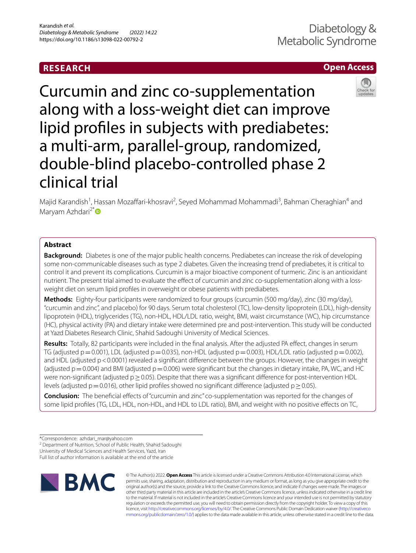# **RESEARCH**

## **Open Access**



Curcumin and zinc co-supplementation along with a loss-weight diet can improve lipid profles in subjects with prediabetes: a multi-arm, parallel-group, randomized, double-blind placebo-controlled phase 2 clinical trial

Majid Karandish<sup>1</sup>, Hassan Mozaffari-khosravi<sup>2</sup>, Seyed Mohammad Mohammadi<sup>3</sup>, Bahman Cheraghian<sup>4</sup> and Maryam Azhdari<sup>2[\\*](http://orcid.org/0000-0003-2110-9817)</sup>

## **Abstract**

**Background:** Diabetes is one of the major public health concerns. Prediabetes can increase the risk of developing some non-communicable diseases such as type 2 diabetes. Given the increasing trend of prediabetes, it is critical to control it and prevent its complications. Curcumin is a major bioactive component of turmeric. Zinc is an antioxidant nutrient. The present trial aimed to evaluate the efect of curcumin and zinc co-supplementation along with a lossweight diet on serum lipid profles in overweight or obese patients with prediabetes.

**Methods:** Eighty-four participants were randomized to four groups (curcumin (500 mg/day), zinc (30 mg/day), "curcumin and zinc", and placebo) for 90 days. Serum total cholesterol (TC), low-density lipoprotein (LDL), high-density lipoprotein (HDL), triglycerides (TG), non-HDL, HDL/LDL ratio, weight, BMI, waist circumstance (WC), hip circumstance (HC), physical activity (PA) and dietary intake were determined pre and post-intervention. This study will be conducted at Yazd Diabetes Research Clinic, Shahid Sadoughi University of Medical Sciences.

**Results:** Totally, 82 participants were included in the fnal analysis. After the adjusted PA efect, changes in serum TG (adjusted  $p=0.001$ ), LDL (adjusted  $p=0.035$ ), non-HDL (adjusted  $p=0.003$ ), HDL/LDL ratio (adjusted  $p=0.002$ ), and HDL (adjusted p < 0.0001) revealed a significant difference between the groups. However, the changes in weight (adjusted  $p=0.004$ ) and BMI (adjusted  $p=0.006$ ) were significant but the changes in dietary intake, PA, WC, and HC were non-significant (adjusted  $p \ge 0.05$ ). Despite that there was a significant difference for post-intervention HDL levels (adjusted p=0.016), other lipid profiles showed no significant difference (adjusted p  $\geq$  0.05).

**Conclusion:** The benefcial efects of "curcumin and zinc" co-supplementation was reported for the changes of some lipid profles (TG, LDL, HDL, non-HDL, and HDL to LDL ratio), BMI, and weight with no positive efects on TC,

<sup>2</sup> Department of Nutrition, School of Public Health, Shahid Sadoughi

University of Medical Sciences and Health Services, Yazd, Iran

Full list of author information is available at the end of the article



© The Author(s) 2022. **Open Access** This article is licensed under a Creative Commons Attribution 4.0 International License, which permits use, sharing, adaptation, distribution and reproduction in any medium or format, as long as you give appropriate credit to the original author(s) and the source, provide a link to the Creative Commons licence, and indicate if changes were made. The images or other third party material in this article are included in the article's Creative Commons licence, unless indicated otherwise in a credit line to the material. If material is not included in the article's Creative Commons licence and your intended use is not permitted by statutory regulation or exceeds the permitted use, you will need to obtain permission directly from the copyright holder. To view a copy of this licence, visit [http://creativecommons.org/licenses/by/4.0/.](http://creativecommons.org/licenses/by/4.0/) The Creative Commons Public Domain Dedication waiver ([http://creativeco](http://creativecommons.org/publicdomain/zero/1.0/) [mmons.org/publicdomain/zero/1.0/](http://creativecommons.org/publicdomain/zero/1.0/)) applies to the data made available in this article, unless otherwise stated in a credit line to the data.

<sup>\*</sup>Correspondence: azhdari\_mar@yahoo.com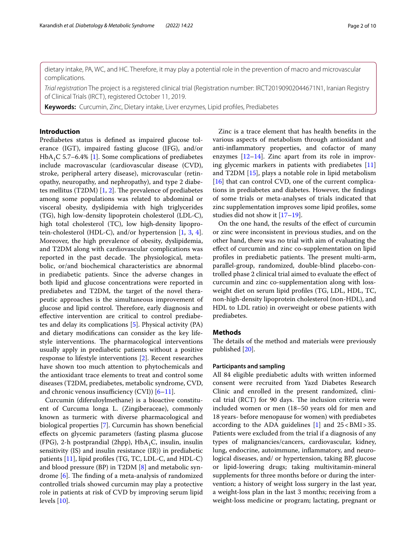dietary intake, PA, WC, and HC. Therefore, it may play a potential role in the prevention of macro and microvascular complications.

*Trial registration* The project is a registered clinical trial (Registration number: IRCT20190902044671N1, Iranian Registry of Clinical Trials (IRCT), registered October 11, 2019.

**Keywords:** Curcumin, Zinc, Dietary intake, Liver enzymes, Lipid profles, Prediabetes

## **Introduction**

Prediabetes status is defned as impaired glucose tolerance (IGT), impaired fasting glucose (IFG), and/or  $HbA_1C$  5.7–6.4% [[1\]](#page-9-0). Some complications of prediabetes include macrovascular (cardiovascular disease (CVD), stroke, peripheral artery disease), microvascular (retinopathy, neuropathy, and nephropathy), and type 2 diabetes mellitus (T2DM)  $[1, 2]$  $[1, 2]$  $[1, 2]$  $[1, 2]$ . The prevalence of prediabetes among some populations was related to abdominal or visceral obesity, dyslipidemia with high triglycerides (TG), high low-density lipoprotein cholesterol (LDL-C), high total cholesterol (TC), low high-density lipoprotein-cholesterol (HDL-C), and/or hypertension [[1,](#page-9-0) [3](#page-9-2), [4](#page-9-3)]. Moreover, the high prevalence of obesity, dyslipidemia, and T2DM along with cardiovascular complications was reported in the past decade. The physiological, metabolic, or/and biochemical characteristics are abnormal in prediabetic patients. Since the adverse changes in both lipid and glucose concentrations were reported in prediabetes and T2DM, the target of the novel therapeutic approaches is the simultaneous improvement of glucose and lipid control. Therefore, early diagnosis and efective intervention are critical to control prediabetes and delay its complications [[5\]](#page-9-4). Physical activity (PA) and dietary modifcations can consider as the key lifestyle interventions. The pharmacological interventions usually apply in prediabetic patients without a positive response to lifestyle interventions [[2\]](#page-9-1). Recent researches have shown too much attention to phytochemicals and the antioxidant trace elements to treat and control some diseases (T2DM, prediabetes, metabolic syndrome, CVD, and chronic venous insufficiency  $(CVI)$  [[6–](#page-9-5)[11\]](#page-9-6).

Curcumin (diferuloylmethane) is a bioactive constituent of Curcuma longa L. (Zingiberaceae), commonly known as turmeric with diverse pharmacological and biological properties [\[7](#page-9-7)]. Curcumin has shown benefcial efects on glycemic parameters (fasting plasma glucose (FPG), 2-h postprandial (2hpp),  $HbA<sub>1</sub>C$ , insulin, insulin sensitivity (IS) and insulin resistance (IR)) in prediabetic patients [[11\]](#page-9-6), lipid profles (TG, TC, LDL-C, and HDL-C) and blood pressure (BP) in T2DM [[8\]](#page-9-8) and metabolic syndrome  $[6]$  $[6]$ . The finding of a meta-analysis of randomized controlled trials showed curcumin may play a protective role in patients at risk of CVD by improving serum lipid levels [[10\]](#page-9-9).

Zinc is a trace element that has health benefts in the various aspects of metabolism through antioxidant and anti-infammatory properties, and cofactor of many enzymes  $[12-14]$  $[12-14]$ . Zinc apart from its role in improving glycemic markers in patients with prediabetes [[11](#page-9-6)] and T2DM [[15\]](#page-9-12), plays a notable role in lipid metabolism [[16\]](#page-9-13) that can control CVD, one of the current complications in prediabetes and diabetes. However, the fndings of some trials or meta-analyses of trials indicated that zinc supplementation improves some lipid profles, some studies did not show it [\[17–](#page-9-14)[19\]](#page-9-15).

On the one hand, the results of the efect of curcumin or zinc were inconsistent in previous studies, and on the other hand, there was no trial with aim of evaluating the efect of curcumin and zinc co-supplementation on lipid profiles in prediabetic patients. The present multi-arm, parallel-group, randomized, double-blind placebo-controlled phase 2 clinical trial aimed to evaluate the efect of curcumin and zinc co-supplementation along with lossweight diet on serum lipid profles (TG, LDL, HDL, TC, non-high-density lipoprotein cholesterol (non-HDL), and HDL to LDL ratio) in overweight or obese patients with prediabetes.

## **Methods**

The details of the method and materials were previously published [\[20](#page-9-16)].

## **Participants and sampling**

All 84 eligible prediabetic adults with written informed consent were recruited from Yazd Diabetes Research Clinic and enrolled in the present randomized, clinical trial (RCT) for 90 days. The inclusion criteria were included women or men (18–50 years old for men and 18 years- before menopause for women) with prediabetes according to the ADA guidelines  $[1]$  $[1]$  $[1]$  and  $25 < BMI > 35$ . Patients were excluded from the trial if a diagnosis of any types of malignancies/cancers, cardiovascular, kidney, lung, endocrine, autoimmune, infammatory, and neurological diseases, and/ or hypertension, taking BP, glucose or lipid-lowering drugs; taking multivitamin-mineral supplements for three months before or during the intervention; a history of weight loss surgery in the last year, a weight-loss plan in the last 3 months; receiving from a weight-loss medicine or program; lactating, pregnant or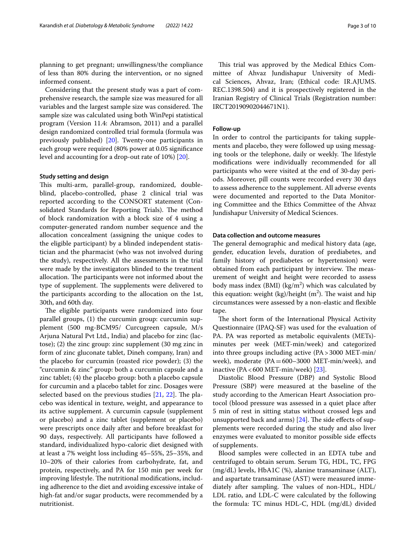planning to get pregnant; unwillingness/the compliance of less than 80% during the intervention, or no signed informed consent.

Considering that the present study was a part of comprehensive research, the sample size was measured for all variables and the largest sample size was considered. The sample size was calculated using both WinPepi statistical program (Version 11.4: Abramson, 2011) and a parallel design randomized controlled trial formula (formula was previously published) [[20\]](#page-9-16). Twenty-one participants in each group were required (80% power at 0.05 signifcance level and accounting for a drop-out rate of 10%) [\[20](#page-9-16)].

## **Study setting and design**

This multi-arm, parallel-group, randomized, doubleblind, placebo-controlled, phase 2 clinical trial was reported according to the CONSORT statement (Consolidated Standards for Reporting Trials). The method of block randomization with a block size of 4 using a computer-generated random number sequence and the allocation concealment (assigning the unique codes to the eligible participant) by a blinded independent statistician and the pharmacist (who was not involved during the study), respectively. All the assessments in the trial were made by the investigators blinded to the treatment allocation. The participants were not informed about the type of supplement. The supplements were delivered to the participants according to the allocation on the 1st, 30th, and 60th day.

The eligible participants were randomized into four parallel groups, (1) the curcumin group: curcumin supplement (500 mg-BCM95/ Curcugreen capsule, M/s Arjuna Natural Pvt Ltd., India) and placebo for zinc (lactose); (2) the zinc group: zinc supplement (30 mg zinc in form of zinc gluconate tablet, Dineh company, Iran) and the placebo for curcumin (roasted rice powder); (3) the "curcumin & zinc" group: both a curcumin capsule and a zinc tablet; (4) the placebo group: both a placebo capsule for curcumin and a placebo tablet for zinc. Dosages were selected based on the previous studies  $[21, 22]$  $[21, 22]$  $[21, 22]$ . The placebo was identical in texture, weight, and appearance to its active supplement. A curcumin capsule (supplement or placebo) and a zinc tablet (supplement or placebo) were prescripts once daily after and before breakfast for 90 days, respectively. All participants have followed a standard, individualized hypo-caloric diet designed with at least a 7% weight loss including 45–55%, 25–35%, and 10–20% of their calories from carbohydrate, fat, and protein, respectively, and PA for 150 min per week for improving lifestyle. The nutritional modifications, including adherence to the diet and avoiding excessive intake of high-fat and/or sugar products, were recommended by a nutritionist.

This trial was approved by the Medical Ethics Committee of Ahvaz Jundishapur University of Medical Sciences, Ahvaz, Iran; (Ethical code: IR.AJUMS. REC.1398.504) and it is prospectively registered in the Iranian Registry of Clinical Trials (Registration number: IRCT20190902044671N1).

## **Follow‑up**

In order to control the participants for taking supplements and placebo, they were followed up using messaging tools or the telephone, daily or weekly. The lifestyle modifcations were individually recommended for all participants who were visited at the end of 30-day periods. Moreover, pill counts were recorded every 30 days to assess adherence to the supplement. All adverse events were documented and reported to the Data Monitoring Committee and the Ethics Committee of the Ahvaz Jundishapur University of Medical Sciences.

## **Data collection and outcome measures**

The general demographic and medical history data (age, gender, education levels, duration of prediabetes, and family history of prediabetes or hypertension) were obtained from each participant by interview. The measurement of weight and height were recorded to assess body mass index (BMI) ( $\text{kg/m}^2$ ) which was calculated by this equation: weight  $\frac{\log \ln \tan^2 m}{\log \tan^2 m}$ . The waist and hip circumstances were assessed by a non-elastic and fexible tape.

The short form of the International Physical Activity Questionnaire (IPAQ-SF) was used for the evaluation of PA. PA was reported as metabolic equivalents (METs) minutes per week (MET-min/week) and categorized into three groups including active (PA>3000 MET-min/ week), moderate (PA=600–3000 MET-min/week), and inactive ( $PA < 600$  MET-min/week) [ $23$ ].

Diastolic Blood Pressure (DBP) and Systolic Blood Pressure (SBP) were measured at the baseline of the study according to the American Heart Association protocol (blood pressure was assessed in a quiet place after 5 min of rest in sitting status without crossed legs and unsupported back and arms)  $[24]$  $[24]$  $[24]$ . The side effects of supplements were recorded during the study and also liver enzymes were evaluated to monitor possible side efects of supplements.

Blood samples were collected in an EDTA tube and centrifuged to obtain serum. Serum TG, HDL, TC, FPG (mg/dL) levels, HbA1C (%), alanine transaminase (ALT), and aspartate transaminase (AST) were measured immediately after sampling. The values of non-HDL, HDL/ LDL ratio, and LDL-C were calculated by the following the formula: TC minus HDL-C, HDL (mg/dL) divided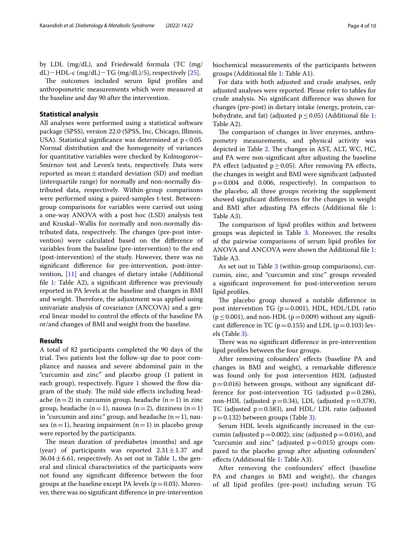by LDL (mg/dL), and Friedewald formula (TC (mg/ dL) – HDL-c (mg/dL) – TG (mg/dL)/5), respectively [\[25\]](#page-9-21).

The outcomes included serum lipid profiles and anthropometric measurements which were measured at the baseline and day 90 after the intervention.

## **Statistical analysis**

All analyses were performed using a statistical software package (SPSS), version 22.0 (SPSS, Inc, Chicago, Illinois, USA). Statistical significance was determined at  $p < 0.05$ . Normal distribution and the homogeneity of variances for quantitative variables were checked by Kolmogorov– Smirnov test and Leven's tests, respectively. Data were reported as mean $\pm$ standard deviation (SD) and median (interquartile range) for normally and non-normally distributed data, respectively. Within-group comparisons were performed using a paired-samples t-test. Betweengroup comparisons for variables were carried out using a one-way ANOVA with a post hoc (LSD) analysis test and Kruskal–Wallis for normally and non-normally distributed data, respectively. The changes (pre-post intervention) were calculated based on the diference of variables from the baseline (pre-intervention) to the end (post-intervention) of the study. However, there was no signifcant diference for pre-intervention, post-intervention, [[11\]](#page-9-6) and changes of dietary intake (Additional file  $1$ : Table A2), a significant difference was previously reported in PA levels at the baseline and changes in BMI and weight. Therefore, the adjustment was applied using univariate analysis of covariance (ANCOVA) and a general linear model to control the efects of the baseline PA or/and changes of BMI and weight from the baseline.

## **Results**

A total of 82 participants completed the 90 days of the trial. Two patients lost the follow-up due to poor compliance and nausea and severe abdominal pain in the "curcumin and zinc" and placebo group (1 patient in each group), respectively. Figure  $1$  showed the flow diagram of the study. The mild side effects including headache (n=2) in curcumin group, headache (n=1) in zinc group, headache (n=1), nausea (n=2), dizziness (n=1) in "curcumin and zinc" group, and headache  $(n=1)$ , nausea (n=1), hearing impairment (n=1) in placebo group were reported by the participants.

The mean duration of prediabetes (months) and age (year) of participants was reported  $2.31 \pm 1.37$  and  $36.04 \pm 6.61$ , respectively. As set out in Table [1,](#page-5-0) the general and clinical characteristics of the participants were not found any signifcant diference between the four groups at the baseline except PA levels ( $p=0.03$ ). Moreover, there was no signifcant diference in pre-intervention biochemical measurements of the participants between groups (Additional fle [1:](#page-8-0) Table A1).

For data with both adjusted and crude analyses, only adjusted analyses were reported. Please refer to tables for crude analysis. No signifcant diference was shown for changes (pre-post) in dietary intake (energy, protein, carbohydrate, and fat) (adjusted  $p \le 0.05$ ) (Additional file [1](#page-8-0): Table A2).

The comparison of changes in liver enzymes, anthropometry measurements, and physical activity was depicted in Table [2.](#page-5-1) The changes in AST, ALT, WC, HC, and PA were non-signifcant after adjusting the baseline PA effect (adjusted  $p \ge 0.05$ ). After removing PA effects, the changes in weight and BMI were signifcant (adjusted p=0.004 and 0.006, respectively). In comparison to the placebo, all three groups receiving the supplement showed signifcant diferences for the changes in weight and BMI after adjusting PA efects (Additional fle [1](#page-8-0): Table A3).

The comparison of lipid profiles within and between groups was depicted in Table [3.](#page-6-0) Moreover, the results of the pairwise comparisons of serum lipid profles for ANOVA and ANCOVA were shown the Additional fle [1](#page-8-0): Table A3.

As set out in Table [3](#page-6-0) (within-group comparisons), curcumin, zinc, and "curcumin and zinc" groups revealed a signifcant improvement for post-intervention serum lipid profles.

The placebo group showed a notable difference in post intervention TG ( $p=0.001$ ), HDL, HDL/LDL ratio  $(p \le 0.001)$ , and non-HDL  $(p=0.009)$  without any significant difference in TC ( $p=0.155$ ) and LDL ( $p=0.103$ ) levels (Table [3\)](#page-6-0).

There was no significant difference in pre-intervention lipid profles between the four groups.

After removing cofounders' efects (baseline PA and changes in BMI and weight), a remarkable diference was found only for post intervention HDL (adjusted  $p=0.016$ ) between groups, without any significant difference for post-intervention TG (adjusted  $p=0.286$ ), non-HDL (adjusted  $p=0.34$ ), LDL (adjusted  $p=0.378$ ), TC (adjusted  $p=0.583$ ), and HDL/ LDL ratio (adjusted  $p=0.132$  $p=0.132$  $p=0.132$ ) between groups (Table 3).

Serum HDL levels signifcantly increased in the curcumin (adjusted  $p=0.002$ ), zinc (adjusted  $p=0.016$ ), and "curcumin and zinc" (adjusted  $p=0.015$ ) groups compared to the placebo group after adjusting cofounders' efects (Additional fle [1](#page-8-0): Table A3).

After removing the confounders' effect (baseline PA and changes in BMI and weight), the changes of all lipid profiles (pre-post) including serum TG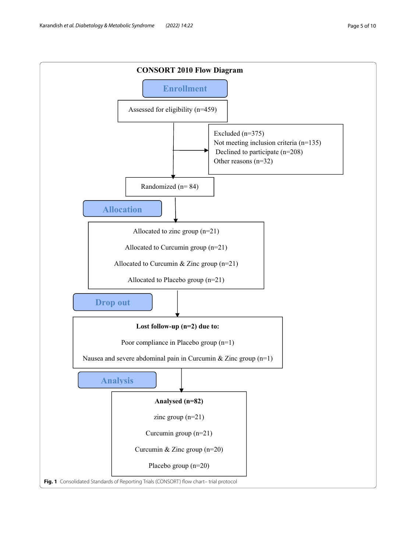<span id="page-4-0"></span>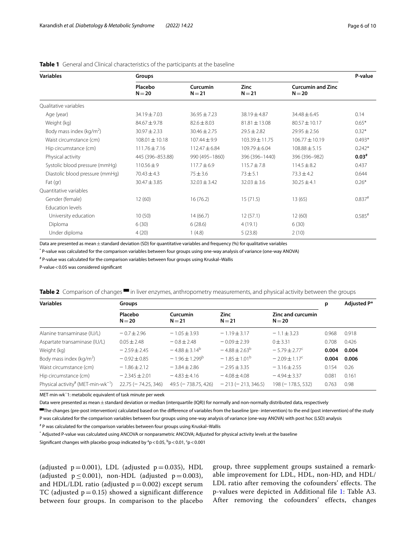| <b>Variables</b>                | Groups              |                      |                         |                                      |                      |  |
|---------------------------------|---------------------|----------------------|-------------------------|--------------------------------------|----------------------|--|
|                                 | Placebo<br>$N = 20$ | Curcumin<br>$N = 21$ | <b>Zinc</b><br>$N = 21$ | <b>Curcumin and Zinc</b><br>$N = 20$ |                      |  |
| Oualitative variables           |                     |                      |                         |                                      |                      |  |
| Age (year)                      | $34.19 \pm 7.03$    | $36.95 \pm 7.23$     | $38.19 \pm 4.87$        | $34.48 \pm 6.45$                     | 0.14                 |  |
| Weight (kg)                     | $84.67 \pm 9.78$    | $82.6 \pm 8.03$      | $81.81 \pm 13.08$       | $80.57 \pm 10.17$                    | $0.65*$              |  |
| Body mass index ( $kg/m2$ )     | $30.97 \pm 2.33$    | $30.46 \pm 2.75$     | $29.5 \pm 2.82$         | $29.95 \pm 2.56$                     | $0.32*$              |  |
| Waist circumstance (cm)         | $108.01 \pm 10.18$  | $107.44 \pm 9.9$     | $103.39 \pm 11.75$      | $106.77 \pm 10.19$                   | $0.493*$             |  |
| Hip circumstance (cm)           | $111.76 \pm 7.16$   | $112.47 \pm 6.84$    | $109.79 \pm 6.04$       | $108.88 \pm 5.15$                    | $0.242*$             |  |
| Physical activity               | 445 (396-853.88)    | 990 (495-1860)       | 396 (396-1440)          | 396 (396-982)                        | $0.03*$              |  |
| Systolic blood pressure (mmHq)  | $110.56 \pm 9$      | $117.7 \pm 6.9$      | $115.7 \pm 7.8$         | $114.5 \pm 8.2$                      | 0.437                |  |
| Diastolic blood pressure (mmHg) | $70.43 \pm 4.3$     | $75 + 3.6$           | $73 + 5.1$              | $73.3 \pm 4.2$                       | 0.644                |  |
| Fat (gr)                        | $30.47 \pm 3.85$    | $32.03 \pm 3.42$     | $32.03 \pm 3.6$         | $30.25 \pm 4.1$                      | $0.26*$              |  |
| Quantitative variables          |                     |                      |                         |                                      |                      |  |
| Gender (female)                 | 12(60)              | 16(76.2)             | 15(71.5)                | 13(65)                               | $0.837$ #            |  |
| <b>Education levels</b>         |                     |                      |                         |                                      |                      |  |
| University education            | 10(50)              | 14(66.7)             | 12(57.1)                | 12(60)                               | $0.585$ <sup>#</sup> |  |
| Diploma                         | 6(30)               | 6(28.6)              | 4(19.1)                 | 6(30)                                |                      |  |
| Under diploma                   | 4(20)               | 1(4.8)               | 5(23.8)                 | 2(10)                                |                      |  |

## <span id="page-5-0"></span>**Table 1** General and Clinical characteristics of the participants at the baseline

Data are presented as mean  $\pm$  standard deviation (SD) for quantitative variables and frequency (%) for qualitative variables

\* P-value was calculated for the comparison variables between four groups using one-way analysis of variance (one-way ANOVA)

# P-value was calculated for the comparison variables between four groups using Kruskal–Wallis

P-value<0.05 was considered signifcant

<span id="page-5-1"></span>

|  |  |  |  |  | <b>Table 2</b> Comparison of changes $\blacksquare$ in liver enzymes, anthropometry measurements, and physical activity between the groups |  |  |
|--|--|--|--|--|--------------------------------------------------------------------------------------------------------------------------------------------|--|--|
|--|--|--|--|--|--------------------------------------------------------------------------------------------------------------------------------------------|--|--|

| <b>Variables</b>                                    | Groups                    |                           |                          |                               | р     | Adjusted P* |
|-----------------------------------------------------|---------------------------|---------------------------|--------------------------|-------------------------------|-------|-------------|
|                                                     | Placebo<br>$N = 20$       | Curcumin<br>$N = 21$      | <b>Zinc</b><br>$N = 21$  | Zinc and curcumin<br>$N = 20$ |       |             |
| Alanine transaminase (IU/L)                         | $-0.7 + 2.96$             | $-1.05 \pm 3.93$          | $-1.19 + 3.17$           | $-1.1 + 3.23$                 | 0.968 | 0.918       |
| Aspartate transaminase (IU/L)                       | $0.05 + 2.48$             | $-0.8 + 2.48$             | $-0.09 + 2.39$           | $0 + 3.31$                    | 0.708 | 0.426       |
| Weight (kg)                                         | $-2.59 \pm 2.45$          | $-4.88 + 3.14^b$          | $-4.88 \pm 2.63^{\circ}$ | $-5.79 + 2.77^c$              | 0.004 | 0.004       |
| Body mass index ( $kg/m2$ )                         | $-0.92 \pm 0.85$          | $-1.96 \pm 1.299^{\circ}$ | $-1.85 \pm 1.01^{\circ}$ | $-2.09 \pm 1.17^c$            | 0.004 | 0.006       |
| Waist circumstance (cm)                             | $-1.86 \pm 2.12$          | $-3.84 \pm 2.86$          | $-2.95 \pm 3.35$         | $-3.16 \pm 2.55$              | 0.154 | 0.26        |
| Hip circumstance (cm)                               | $-2.345 + 2.01$           | $-4.83 + 4.16$            | $-4.08 + 4.08$           | $-4.94 \pm 3.37$              | 0.081 | 0.161       |
| Physical activity <sup>#</sup> (MET min $wk^{-1}$ ) | $22.75$ ( $-74.25$ , 346) | $49.5$ ( $-738.75$ , 426) | $-213 (-213, 346.5)$     | $198 (- 178.5.532)$           | 0.763 | 0.98        |

MET·min·wk<sup>−</sup>1: metabolic equivalent of task minute per week

Data were presented as mean  $\pm$  standard deviation or median (interquartile (IQR)) for normally and non-normally distributed data, respectively

▀The changes (pre-post intervention) calculated based on the diference of variables from the baseline (pre- intervention) to the end (post intervention) of the study

P was calculated for the comparison variables between four groups using one-way analysis of variance (one-way ANOVA) with post hoc (LSD) analysis

# P was calculated for the comparison variables between four groups using Kruskal–Wallis

\* Adjusted P-value was calculated using ANCOVA or nonparametric ANCOVA; Adjusted for physical activity levels at the baseline

Significant changes with placebo group indicated by  $^{\rm a}$ p < 0.05,  $^{\rm b}$ p < 0.01,  $^{\rm c}$ p < 0.001

(adjusted  $p = 0.001$ ), LDL (adjusted  $p = 0.035$ ), HDL (adjusted  $p \le 0.001$ ), non-HDL (adjusted  $p = 0.003$ ), and HDL/LDL ratio (adjusted  $p = 0.002$ ) except serum TC (adjusted  $p = 0.15$ ) showed a significant difference between four groups. In comparison to the placebo

group, three supplement groups sustained a remarkable improvement for LDL, HDL, non-HD, and HDL/ LDL ratio after removing the cofounders' effects. The p-values were depicted in Additional file [1](#page-8-0): Table A3. After removing the cofounders' effects, changes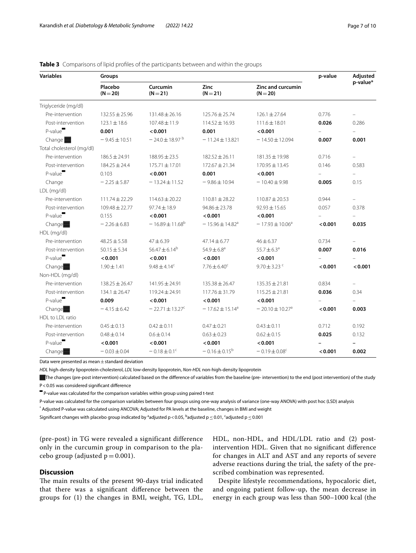## **Variables Groups p-value Adjusted p-value\* Placebo (N**=**20) Curcumin (N**=**21) Zinc (N**=**21) Zinc and curcumin (N**=**20)** Triglyceride (mg/dl) Pre-intervention 132.55±25.96 131.48±26.16 125.76±25.74 126.1±27.64 0.776 – Post-intervention 123.1±18.6 107.48±11.9 114.52±16.93 111.6±18.01 **0.026** 0.286 P-value▀ **0.001 <0.001 0.001 <0.001** – – Change ● <del>1</del> − 9.45±10.51 − 24.0±18.97 <sup>b</sup> − 11.24±13.821 − 14.50±12.094 **0.007 0.001** Total cholesterol (mg/dl) Pre-intervention 186.5±24.91 188.95±23.5 182.52±26.11 181.35±19.98 0.716 – Post-intervention 184.25±24.4 175.71±17.01 172.67±21.34 170.95±13.45 0.146 0.583 P-value▀ 0.103 **<0.001 0.001 <0.001** – – Change − 2.25±5.87 − 13.24±11.52 − 9.86±10.94 − 10.40±9.98 **0.005** 0.15 LDL (mg/dl) Pre-intervention 111.74±22.29 114.63±20.22 110.81±28.22 110.87±20.53 0.944 – Post-intervention 109.48±22.77 97.74±18.9 94.86±23.78 92.93±15.65 0.057 0.378 P-value▀ 0.155 **<0.001 <0.001 <0.001** – – Change**▓ +** 2.26±6.83 - 16.89±11.68<sup>b</sup> - 15.96±14.82<sup>a</sup> - 17.93±10.06<sup>a</sup> <**0.001 0.035** HDL (mg/dl) Pre-intervention 48.25±5.58 47±6.39 47.14±6.77 46±6.37 0.734 – **Post-intervention** 50.15 $\pm$ 5.34 56.47 $\pm$ 6.14<sup>b</sup> 54.9 $\pm$ 6.8<sup>a</sup> 55.7 $\pm$ 6.3<sup>a</sup> **0.007 0.016** P-value▀ **<0.001 <0.001 <0.001 <0.001** – – Change▓ 1.90±1.41 9.48±4.14c 7.76±6.40c 9.70±3.23 c **<0.001 <0.001** Non-HDL (mg/dl) Pre-intervention 138.25±26.47 141.95±24.91 135.38±26.47 135.35±21.81 0.834 – Post-intervention 134.1±26.47 119.24±24.91 117.76±31.79 115.25±21.81 **0.036** 0.34 P-value▀ **0.009 <0.001 <0.001 <0.001** – – Change**▓ +4.15±6.42** - 22.71±13.27<sup>c</sup> - 17.62±15.14<sup>a</sup> - 20.10±10.27<sup>a</sup> <**0.001 0.003** HDL to LDL ratio Pre-intervention 0.45±0.13 0.42±0.11 0.47±0.21 0.43±0.11 0.712 0.192 Post-intervention 0.48±0.14 0.6±0.14 0.63±0.23 0.62±0.15 **0.025** 0.132 P-value▀ **<0.001 <0.001 <0.001 <0.001 – –** Change**■ − 0.03±0.04** − 0.18±0.1<sup>c</sup> − 0.16±0.15<sup>b</sup> − 0.19±0.08<sup>c</sup> **<0.001 0.002**

<span id="page-6-0"></span>**Table 3** Comparisons of lipid profiles of the participants between and within the groups

Data were presented as mean  $\pm$  standard deviation

*HDL* high‐density lipoprotein-cholesterol, *LDL* low-density lipoprotein, *Non-HDL* non-high‐density lipoprotein

The changes (pre-post intervention) calculated based on the difference of variables from the baseline (pre- intervention) to the end (post intervention) of the study P<0.05 was considered signifcant diference

▀ P-value was calculated for the comparison variables within group using paired t-test

P-value was calculated for the comparison variables between four groups using one-way analysis of variance (one-way ANOVA) with post hoc (LSD) analysis

\* Adjusted P-value was calculated using ANCOVA; Adjusted for PA levels at the baseline, changes in BMI and weight

Significant changes with placebo group indicated by <sup>a</sup>adjusted p<0.05, <sup>b</sup>adjusted p  $\leq$  0.01, <sup>c</sup>adjusted p  $\leq$  0.001

(pre-post) in TG were revealed a significant difference only in the curcumin group in comparison to the placebo group (adjusted  $p = 0.001$ ).

## **Discussion**

The main results of the present 90-days trial indicated that there was a signifcant diference between the groups for (1) the changes in BMI, weight, TG, LDL, HDL, non-HDL, and HDL/LDL ratio and (2) postintervention HDL. Given that no signifcant diference for changes in ALT and AST and any reports of severe adverse reactions during the trial, the safety of the prescribed combination was represented.

Despite lifestyle recommendations, hypocaloric diet, and ongoing patient follow-up, the mean decrease in energy in each group was less than 500–1000 kcal (the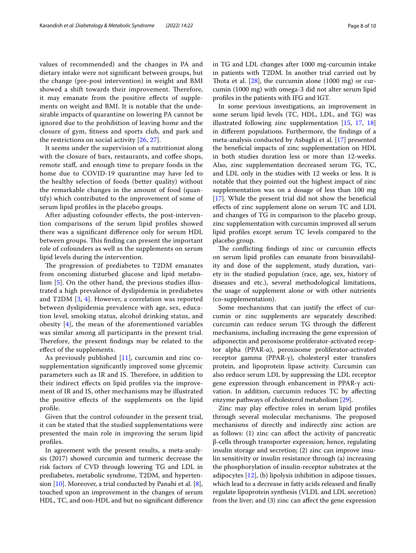values of recommended) and the changes in PA and dietary intake were not signifcant between groups, but the change (pre-post intervention) in weight and BMI showed a shift towards their improvement. Therefore, it may emanate from the positive efects of supplements on weight and BMI. It is notable that the undesirable impacts of quarantine on lowering PA cannot be ignored due to the prohibition of leaving home and the closure of gym, ftness and sports club, and park and the restrictions on social activity [[26,](#page-9-22) [27\]](#page-9-23).

It seems under the supervision of a nutritionist along with the closure of bars, restaurants, and coffee shops, remote staf, and enough time to prepare foods in the home due to COVID-19 quarantine may have led to the healthy selection of foods (better quality) without the remarkable changes in the amount of food (quantify) which contributed to the improvement of some of serum lipid profles in the placebo groups.

After adjusting cofounder efects, the post-intervention comparisons of the serum lipid profles showed there was a signifcant diference only for serum HDL between groups. This finding can present the important role of cofounders as well as the supplements on serum lipid levels during the intervention.

The progression of prediabetes to T2DM emanates from oncoming disturbed glucose and lipid metabolism [[5](#page-9-4)]. On the other hand, the previous studies illustrated a high prevalence of dyslipidemia in prediabetes and T2DM [\[3](#page-9-2), [4\]](#page-9-3). However, a correlation was reported between dyslipidemia prevalence with age, sex, education level, smoking status, alcohol drinking status, and obesity [[4](#page-9-3)], the mean of the aforementioned variables was similar among all participants in the present trial. Therefore, the present findings may be related to the efect of the supplements.

As previously published [[11](#page-9-6)], curcumin and zinc cosupplementation signifcantly improved some glycemic parameters such as IR and IS. Therefore, in addition to their indirect efects on lipid profles via the improvement of IR and IS, other mechanisms may be illustrated the positive efects of the supplements on the lipid profle.

Given that the control cofounder in the present trial, it can be stated that the studied supplementations were presented the main role in improving the serum lipid profles.

In agreement with the present results, a meta-analysis (2017) showed curcumin and turmeric decrease the risk factors of CVD through lowering TG and LDL in prediabetes, metabolic syndrome, T2DM, and hypertension  $[10]$  $[10]$ . Moreover, a trial conducted by Panahi et al.  $[8]$  $[8]$ , touched upon an improvement in the changes of serum HDL, TC, and non-HDL and but no signifcant diference in TG and LDL changes after 1000 mg-curcumin intake in patients with T2DM. In another trial carried out by Thota et al.  $[28]$  $[28]$ , the curcumin alone  $(1000 \text{ mg})$  or curcumin (1000 mg) with omega-3 did not alter serum lipid profles in the patients with IFG and IGT.

In some previous investigations, an improvement in some serum lipid levels (TC, HDL, LDL, and TG) was illustrated following zinc supplementation [\[15,](#page-9-12) [17,](#page-9-14) [18](#page-9-25)] in diferent populations. Furthermore, the fndings of a meta-analysis conducted by Asbaghi et al. [[17\]](#page-9-14) presented the benefcial impacts of zinc supplementation on HDL in both studies duration less or more than 12-weeks. Also, zinc supplementation decreased serum TG, TC, and LDL only in the studies with 12 weeks or less. It is notable that they pointed out the highest impact of zinc supplementation was on a dosage of less than 100 mg [[17\]](#page-9-14). While the present trial did not show the beneficial efects of zinc supplement alone on serum TC and LDL and changes of TG in comparison to the placebo group, zinc supplementation with curcumin improved all serum lipid profles except serum TC levels compared to the placebo group.

The conflicting findings of zinc or curcumin effects on serum lipid profles can emanate from bioavailability and dose of the supplement, study duration, variety in the studied population (race, age, sex, history of diseases and etc.), several methodological limitations, the usage of supplement alone or with other nutrients (co-supplementation).

Some mechanisms that can justify the efect of curcumin or zinc supplements are separately described: curcumin can reduce serum TG through the diferent mechanisms, including increasing the gene expression of adiponectin and peroxisome proliferator-activated receptor alpha (PPAR-α), peroxisome proliferator-activated receptor gamma (PPAR-γ), cholesteryl ester transfers protein, and lipoprotein lipase activity. Curcumin can also reduce serum LDL by suppressing the LDL receptor gene expression through enhancement in PPAR-γ activation. In addition, curcumin reduces TC by afecting enzyme pathways of cholesterol metabolism [\[29\]](#page-9-26).

Zinc may play efective roles in serum lipid profles through several molecular mechanisms. The proposed mechanisms of directly and indirectly zinc action are as follows: (1) zinc can afect the activity of pancreatic β-cells through transporter expression; hence, regulating insulin storage and secretion; (2) zinc can improve insulin sensitivity or insulin resistance through (a) increasing the phosphorylation of insulin-receptor substrates at the adipocytes [\[12](#page-9-10)], (b) lipolysis inhibition in adipose tissues, which lead to a decrease in fatty acids released and fnally regulate lipoprotein synthesis (VLDL and LDL secretion) from the liver; and (3) zinc can afect the gene expression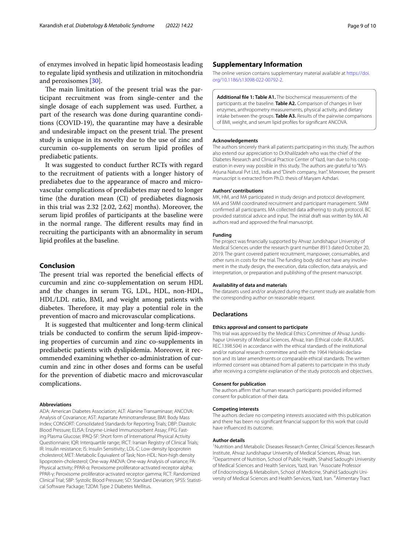of enzymes involved in hepatic lipid homeostasis leading to regulate lipid synthesis and utilization in mitochondria and peroxisomes [\[30](#page-9-27)].

The main limitation of the present trial was the participant recruitment was from single-center and the single dosage of each supplement was used. Further, a part of the research was done during quarantine conditions (COVID-19), the quarantine may have a desirable and undesirable impact on the present trial. The present study is unique in its novelty due to the use of zinc and curcumin co-supplements on serum lipid profles of prediabetic patients.

It was suggested to conduct further RCTs with regard to the recruitment of patients with a longer history of prediabetes due to the appearance of macro and microvascular complications of prediabetes may need to longer time (the duration mean (CI) of prediabetes diagnosis in this trial was 2.32 [2.02, 2.62] months). Moreover, the serum lipid profles of participants at the baseline were in the normal range. The different results may find in recruiting the participants with an abnormality in serum lipid profles at the baseline.

## **Conclusion**

The present trial was reported the beneficial effects of curcumin and zinc co-supplementation on serum HDL and the changes in serum TG, LDL, HDL, non-HDL, HDL/LDL ratio, BMI, and weight among patients with diabetes. Therefore, it may play a potential role in the prevention of macro and microvascular complications.

It is suggested that multicenter and long-term clinical trials be conducted to confrm the serum lipid-improving properties of curcumin and zinc co-supplements in prediabetic patients with dyslipidemia. Moreover, it recommended examining whether co-administration of curcumin and zinc in other doses and forms can be useful for the prevention of diabetic macro and microvascular complications.

### **Abbreviations**

ADA: American Diabetes Association; ALT: Alanine Transaminase; ANCOVA: Analysis of Covariance; AST: Aspartate Aminotransferase; BMI: Body Mass Index; CONSORT: Consolidated Standards for Reporting Trials; DBP: Diastolic Blood Pressure; ELISA: Enzyme-Linked Immunosorbent Assay; FPG: Fast‑ ing Plasma Glucose; IPAQ-SF: Short form of International Physical Activity Questionnaire; IQR: Interquartile range; IRCT: Iranian Registry of Clinical Trials; IR: Insulin resistance; IS: Insulin Sensitivity; LDL-C: Low-density lipoprotein cholesterol; MET: Metabolic Equivalent of Task; Non-HDL: Non-high density lipoprotein-cholesterol; One-way ANOVA: One-way Analysis of variance; PA: Physical activity; PPAR-α: Peroxisome proliferator-activated receptor alpha; PPAR-γ: Peroxisome proliferator-activated receptor gamma; RCT: Randomized Clinical Trial; SBP: Systolic Blood Pressure; SD: Standard Deviation; SPSS: Statisti‑ cal Software Package; T2DM: Type 2 Diabetes Mellitus.

## **Supplementary Information**

The online version contains supplementary material available at [https://doi.](https://doi.org/10.1186/s13098-022-00792-2) [org/10.1186/s13098-022-00792-2](https://doi.org/10.1186/s13098-022-00792-2).

<span id="page-8-0"></span>**Additional fle 1: Table A1.** The biochemical measurements of the participants at the baseline. **Table A2.** Comparison of changes in liver enzymes, anthropometry measurements, physical activity, and dietary intake between the groups. **Table A3.** Results of the pairwise comparisons of BMI, weight, and serum lipid profles for signifcant ANCOVA.

#### **Acknowledgements**

The authors sincerely thank all patients participating in this study. The authors also extend our appreciation to Dr.Khalilzadeh who was the chief of the Diabetes Research and Clinical Practice Center of Yazd, Iran due to his cooperation in every way possible in this study. The authors are grateful to "M/s Arjuna Natural Pvt Ltd., India and "Dineh company, Iran". Moreover, the present manuscript is extracted from Ph.D. thesis of Maryam Azhdari.

#### **Authors' contributions**

MK, HM, and MA participated in study design and protocol development. MA and SMM coordinated recruitment and participant management. SMM confrmed all participants. MA collected data adhering to study protocol. BC provided statistical advice and input. The initial draft was written by MA. All authors read and approved the fnal manuscript.

#### **Funding**

The project was fnancially supported by Ahvaz Jundishapur University of Medical Sciences under the research grant number 8913 dated October 20, 2019. The grant covered patient recruitment, manpower, consumables, and other runs in costs for the trial. The funding body did not have any involvement in the study design, the execution, data collection, data analysis, and interpretation, or preparation and publishing of the present manuscript.

#### **Availability of data and materials**

The datasets used and/or analyzed during the current study are available from the corresponding author on reasonable request.

#### **Declarations**

#### **Ethics approval and consent to participate**

This trial was approved by the Medical Ethics Committee of Ahvaz Jundishapur University of Medical Sciences, Ahvaz, Iran (Ethical code: IR.AJUMS. REC.1398.504) in accordance with the ethical standards of the institutional and/or national research committee and with the 1964 Helsinki declaration and its later amendments or comparable ethical standards. The written informed consent was obtained from all patients to participate in this study after receiving a complete explanation of the study protocols and objectives.

### **Consent for publication**

The authors affirm that human research participants provided informed consent for publication of their data.

#### **Competing interests**

The authors declare no competing interests associated with this publication and there has been no signifcant fnancial support for this work that could have infuenced its outcome.

#### **Author details**

<sup>1</sup> Nutrition and Metabolic Diseases Research Center, Clinical Sciences Research Institute, Ahvaz Jundishapur University of Medical Sciences, Ahvaz, Iran. 2 <sup>2</sup> Department of Nutrition, School of Public Health, Shahid Sadoughi University of Medical Sciences and Health Services, Yazd, Iran. <sup>3</sup> Associate Professor of Endocrinology & Metabolism, School of Medicine, Shahid Sadoughi University of Medical Sciences and Health Services, Yazd, Iran. <sup>4</sup> Alimentary Tract